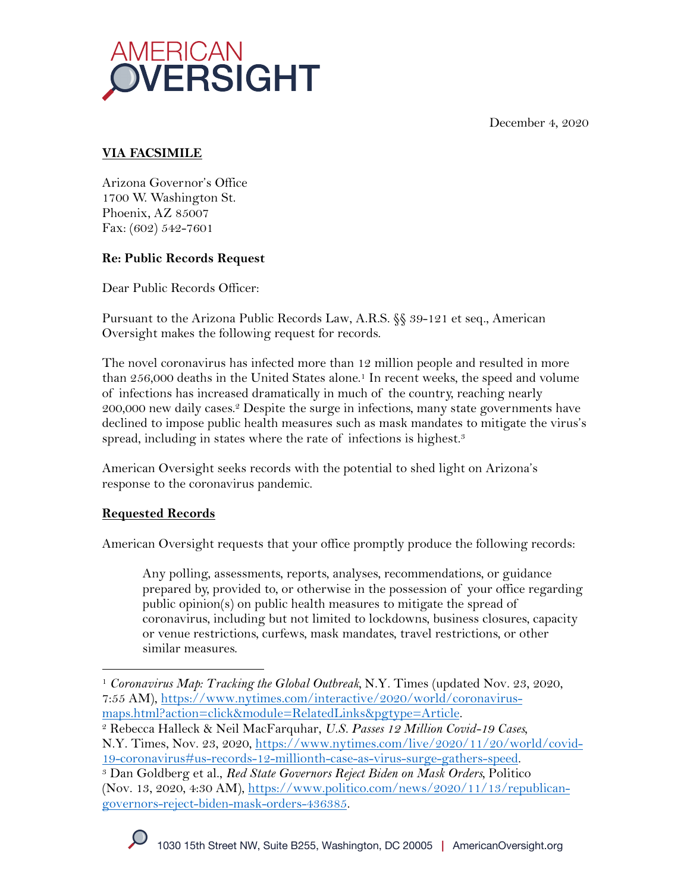December 4, 2020



# **VIA FACSIMILE**

Arizona Governor's Office 1700 W. Washington St. Phoenix, AZ 85007 Fax: (602) 542-7601

## **Re: Public Records Request**

Dear Public Records Officer:

Pursuant to the Arizona Public Records Law, A.R.S. §§ 39-121 et seq., American Oversight makes the following request for records.

The novel coronavirus has infected more than 12 million people and resulted in more than 256,000 deaths in the United States alone. <sup>1</sup> In recent weeks, the speed and volume of infections has increased dramatically in much of the country, reaching nearly 200,000 new daily cases.<sup>2</sup> Despite the surge in infections, many state governments have declined to impose public health measures such as mask mandates to mitigate the virus's spread, including in states where the rate of infections is highest.<sup>3</sup>

American Oversight seeks records with the potential to shed light on Arizona's response to the coronavirus pandemic.

## **Requested Records**

American Oversight requests that your office promptly produce the following records:

Any polling, assessments, reports, analyses, recommendations, or guidance prepared by, provided to, or otherwise in the possession of your office regarding public opinion(s) on public health measures to mitigate the spread of coronavirus, including but not limited to lockdowns, business closures, capacity or venue restrictions, curfews, mask mandates, travel restrictions, or other similar measures.

<sup>1</sup> *Coronavirus Map: Tracking the Global Outbreak,* N.Y. Times (updated Nov. 23, 2020, 7:55 AM), https://www.nytimes.com/interactive/2020/world/coronavirus-

maps.html?action=click&module=RelatedLinks&pgtype=Article. 2 Rebecca Halleck & Neil MacFarquhar, *U.S. Passes 12 Million Covid-19 Cases,*  N.Y. Times, Nov. 23, 2020, https://www.nytimes.com/live/2020/11/20/world/covid-19-coronavirus#us-records-12-millionth-case-as-virus-surge-gathers-speed. 3 Dan Goldberg et al., *Red State Governors Reject Biden on Mask Orders,* Politico

<sup>(</sup>Nov. 13, 2020, 4:30 AM), https://www.politico.com/news/2020/11/13/republicangovernors-reject-biden-mask-orders-436385.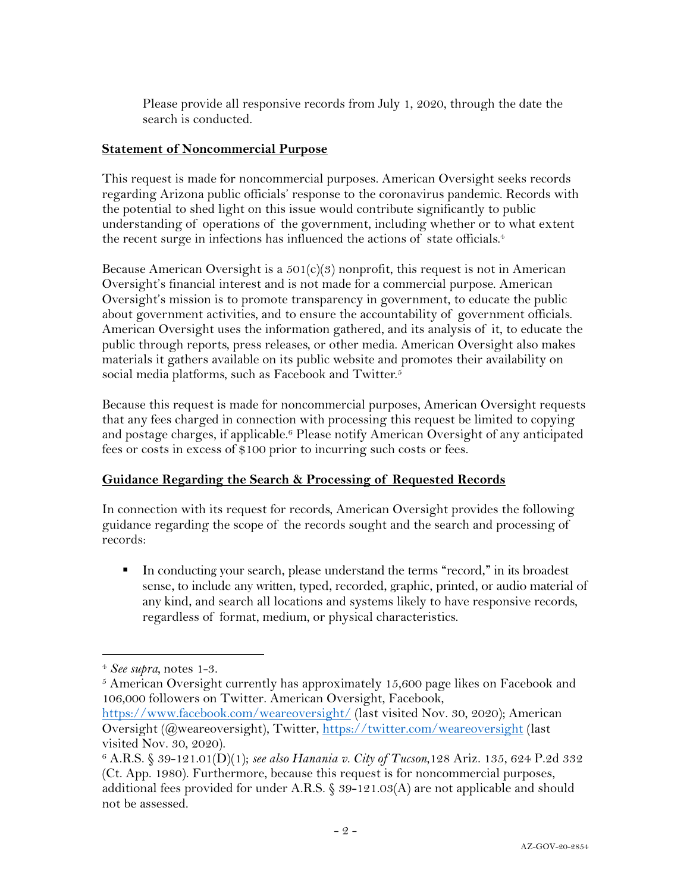Please provide all responsive records from July 1, 2020, through the date the search is conducted.

#### **Statement of Noncommercial Purpose**

This request is made for noncommercial purposes. American Oversight seeks records regarding Arizona public officials' response to the coronavirus pandemic. Records with the potential to shed light on this issue would contribute significantly to public understanding of operations of the government, including whether or to what extent the recent surge in infections has influenced the actions of state officials.<sup>4</sup>

Because American Oversight is a  $501(c)(3)$  nonprofit, this request is not in American Oversight's financial interest and is not made for a commercial purpose. American Oversight's mission is to promote transparency in government, to educate the public about government activities, and to ensure the accountability of government officials. American Oversight uses the information gathered, and its analysis of it, to educate the public through reports, press releases, or other media. American Oversight also makes materials it gathers available on its public website and promotes their availability on social media platforms, such as Facebook and Twitter.<sup>5</sup>

Because this request is made for noncommercial purposes, American Oversight requests that any fees charged in connection with processing this request be limited to copying and postage charges, if applicable.<sup>6</sup> Please notify American Oversight of any anticipated fees or costs in excess of \$100 prior to incurring such costs or fees.

### **Guidance Regarding the Search & Processing of Requested Records**

In connection with its request for records, American Oversight provides the following guidance regarding the scope of the records sought and the search and processing of records:

■ In conducting your search, please understand the terms "record," in its broadest sense, to include any written, typed, recorded, graphic, printed, or audio material of any kind, and search all locations and systems likely to have responsive records, regardless of format, medium, or physical characteristics.

<sup>4</sup> *See supra,* notes 1-3.

<sup>5</sup> American Oversight currently has approximately 15,600 page likes on Facebook and 106,000 followers on Twitter. American Oversight, Facebook,

https://www.facebook.com/weareoversight/ (last visited Nov. 30, 2020); American Oversight (@weareoversight), Twitter, https://twitter.com/weareoversight (last visited Nov. 30, 2020).

<sup>6</sup> A.R.S. § 39-121.01(D)(1); *see also Hanania v. City of Tucson*,128 Ariz. 135, 624 P.2d 332 (Ct. App. 1980). Furthermore, because this request is for noncommercial purposes, additional fees provided for under A.R.S. § 39-121.03(A) are not applicable and should not be assessed.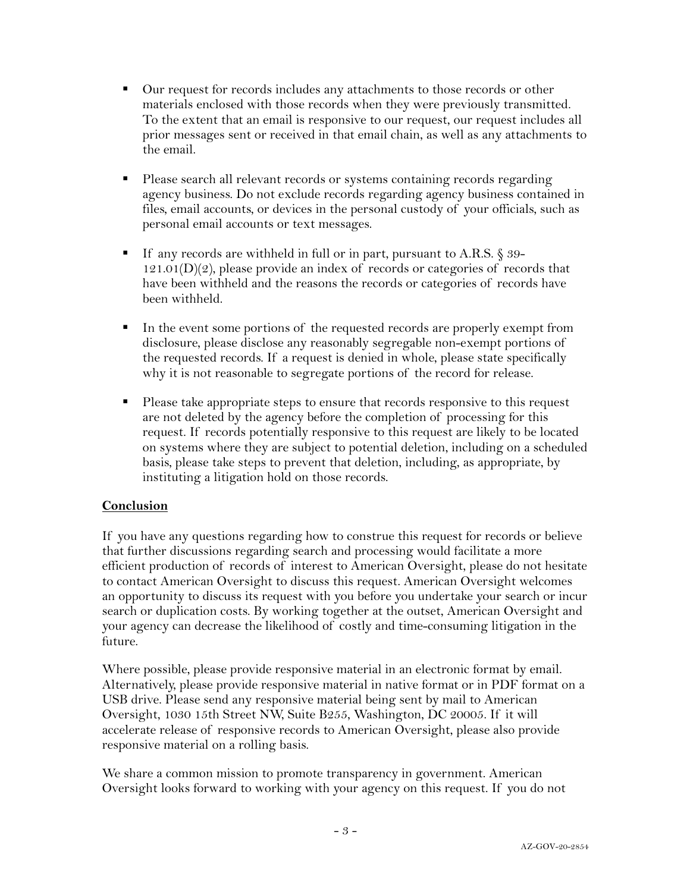- Our request for records includes any attachments to those records or other materials enclosed with those records when they were previously transmitted. To the extent that an email is responsive to our request, our request includes all prior messages sent or received in that email chain, as well as any attachments to the email.
- § Please search all relevant records or systems containing records regarding agency business. Do not exclude records regarding agency business contained in files, email accounts, or devices in the personal custody of your officials, such as personal email accounts or text messages.
- If any records are withheld in full or in part, pursuant to A.R.S. § 39- $121.01(D)(2)$ , please provide an index of records or categories of records that have been withheld and the reasons the records or categories of records have been withheld.
- In the event some portions of the requested records are properly exempt from disclosure, please disclose any reasonably segregable non-exempt portions of the requested records. If a request is denied in whole, please state specifically why it is not reasonable to segregate portions of the record for release.
- Please take appropriate steps to ensure that records responsive to this request are not deleted by the agency before the completion of processing for this request. If records potentially responsive to this request are likely to be located on systems where they are subject to potential deletion, including on a scheduled basis, please take steps to prevent that deletion, including, as appropriate, by instituting a litigation hold on those records.

### **Conclusion**

If you have any questions regarding how to construe this request for records or believe that further discussions regarding search and processing would facilitate a more efficient production of records of interest to American Oversight, please do not hesitate to contact American Oversight to discuss this request. American Oversight welcomes an opportunity to discuss its request with you before you undertake your search or incur search or duplication costs. By working together at the outset, American Oversight and your agency can decrease the likelihood of costly and time-consuming litigation in the future.

Where possible, please provide responsive material in an electronic format by email. Alternatively, please provide responsive material in native format or in PDF format on a USB drive. Please send any responsive material being sent by mail to American Oversight, 1030 15th Street NW, Suite B255, Washington, DC 20005. If it will accelerate release of responsive records to American Oversight, please also provide responsive material on a rolling basis.

We share a common mission to promote transparency in government. American Oversight looks forward to working with your agency on this request. If you do not